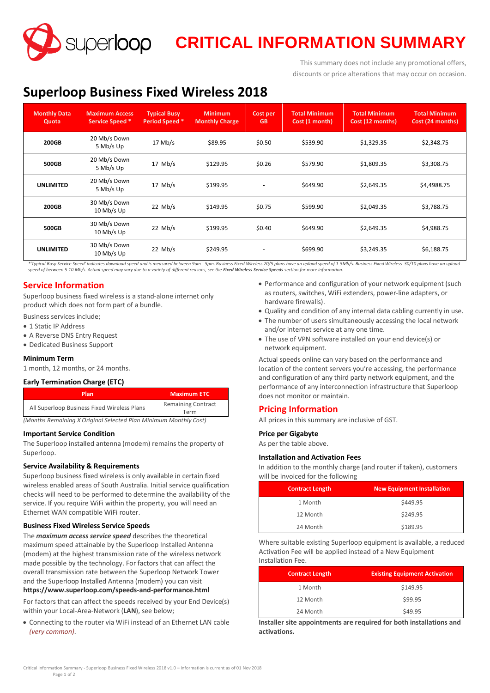**SUPERIOOP CRITICAL INFORMATION SUMMARY** 

This summary does not include any promotional offers, discounts or price alterations that may occur on occasion.

# **Superloop Business Fixed Wireless 2018**

| <b>Monthly Data</b><br>Quota | <b>Maximum Access</b><br>Service Speed * | <b>Typical Busy</b><br>Period Speed * | <b>Minimum</b><br><b>Monthly Charge</b> | Cost per<br><b>GB</b>    | <b>Total Minimum</b><br>Cost (1 month) | <b>Total Minimum</b><br>Cost (12 months) | <b>Total Minimum</b><br>Cost (24 months) |
|------------------------------|------------------------------------------|---------------------------------------|-----------------------------------------|--------------------------|----------------------------------------|------------------------------------------|------------------------------------------|
| 200GB                        | 20 Mb/s Down<br>5 Mb/s Up                | $17$ Mb/s                             | \$89.95                                 | \$0.50                   | \$539.90                               | \$1,329.35                               | \$2,348.75                               |
| 500GB                        | 20 Mb/s Down<br>5 Mb/s Up                | $17$ Mb/s                             | \$129.95                                | \$0.26                   | \$579.90                               | \$1.809.35                               | \$3,308.75                               |
| <b>UNLIMITED</b>             | 20 Mb/s Down<br>5 Mb/s Up                | $17$ Mb/s                             | \$199.95                                | $\overline{\phantom{a}}$ | \$649.90                               | \$2,649.35                               | \$4,4988.75                              |
| 200GB                        | 30 Mb/s Down<br>10 Mb/s Up               | $22$ Mb/s                             | \$149.95                                | \$0.75                   | \$599.90                               | \$2.049.35                               | \$3,788.75                               |
| 500GB                        | 30 Mb/s Down<br>10 Mb/s Up               | $22$ Mb/s                             | \$199.95                                | \$0.40                   | \$649.90                               | \$2,649.35                               | \$4,988.75                               |
| <b>UNLIMITED</b>             | 30 Mb/s Down<br>10 Mb/s Up               | $22$ Mb/s                             | \$249.95                                | $\overline{\phantom{a}}$ | \$699.90                               | \$3.249.35                               | \$6,188.75                               |

\*Typical Busy Service Speed' indicates download speed and is measured between 9am - 5pm. Business Fixed Wireless 20/5 plans have an upload speed of 1-5Mb/s. Business Fixed Wireless 30/10 plans have an upload *speed of between 5-10 Mb/s. Actual speed may vary due to a variety of different reasons, see the Fixed Wireless Service Speeds section for more information.*

# **Service Information**

Superloop business fixed wireless is a stand-alone internet only product which does not form part of a bundle.

- Business services include;
- 1 Static IP Address
- A Reverse DNS Entry Request
- Dedicated Business Support

#### **Minimum Term**

1 month, 12 months, or 24 months.

#### **Early Termination Charge (ETC)**

| Plan                                        | <b>Maximum ETC</b>                |
|---------------------------------------------|-----------------------------------|
| All Superloop Business Fixed Wireless Plans | <b>Remaining Contract</b><br>Term |

*(Months Remaining X Original Selected Plan Minimum Monthly Cost)*

#### **Important Service Condition**

The Superloop installed antenna (modem) remains the property of Superloop.

### **Service Availability & Requirements**

Superloop business fixed wireless is only available in certain fixed wireless enabled areas of South Australia. Initial service qualification checks will need to be performed to determine the availability of the service. If you require WiFi within the property, you will need an Ethernet WAN compatible WiFi router.

#### **Business Fixed Wireless Service Speeds**

The *maximum access service speed* describes the theoretical maximum speed attainable by the Superloop Installed Antenna (modem) at the highest transmission rate of the wireless network made possible by the technology. For factors that can affect the overall transmission rate between the Superloop Network Tower and the Superloop Installed Antenna (modem) you can visit **<https://www.superloop.com/speeds-and-performance.html>**

For factors that can affect the speeds received by your End Device(s) within your Local-Area-Network (**LAN**), see below;

 Connecting to the router via WiFi instead of an Ethernet LAN cable *(very common).*

- Performance and configuration of your network equipment (such as routers, switches, WiFi extenders, power-line adapters, or hardware firewalls).
- Quality and condition of any internal data cabling currently in use.
- The number of users simultaneously accessing the local network and/or internet service at any one time.
- The use of VPN software installed on your end device(s) or network equipment.

Actual speeds online can vary based on the performance and location of the content servers you're accessing, the performance and configuration of any third party network equipment, and the performance of any interconnection infrastructure that Superloop does not monitor or maintain.

## **Pricing Information**

All prices in this summary are inclusive of GST.

#### **Price per Gigabyte**

As per the table above.

#### **Installation and Activation Fees**

In addition to the monthly charge (and router if taken), customers will be invoiced for the following

| <b>Contract Length</b> | <b>New Equipment Installation</b> |
|------------------------|-----------------------------------|
| 1 Month                | \$449.95                          |
| 12 Month               | \$249.95                          |
| 24 Month               | \$189.95                          |

Where suitable existing Superloop equipment is available, a reduced Activation Fee will be applied instead of a New Equipment Installation Fee.

| <b>Contract Length</b> | <b>Existing Equipment Activation</b> |
|------------------------|--------------------------------------|
| 1 Month                | \$149.95                             |
| 12 Month               | \$99.95                              |
| 24 Month               | \$49.95                              |

**Installer site appointments are required for both installations and activations.**